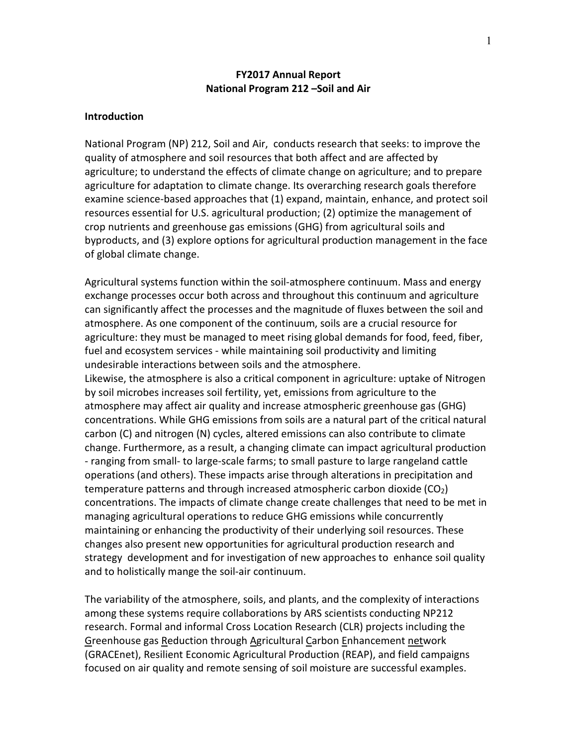### **FY2017 Annual Report National Program 212 –Soil and Air**

#### **Introduction**

National Program (NP) 212, Soil and Air, conducts research that seeks: to improve the quality of atmosphere and soil resources that both affect and are affected by agriculture; to understand the effects of climate change on agriculture; and to prepare agriculture for adaptation to climate change. Its overarching research goals therefore examine science-based approaches that (1) expand, maintain, enhance, and protect soil resources essential for U.S. agricultural production; (2) optimize the management of crop nutrients and greenhouse gas emissions (GHG) from agricultural soils and byproducts, and (3) explore options for agricultural production management in the face of global climate change.

Agricultural systems function within the soil-atmosphere continuum. Mass and energy exchange processes occur both across and throughout this continuum and agriculture can significantly affect the processes and the magnitude of fluxes between the soil and atmosphere. As one component of the continuum, soils are a crucial resource for agriculture: they must be managed to meet rising global demands for food, feed, fiber, fuel and ecosystem services - while maintaining soil productivity and limiting undesirable interactions between soils and the atmosphere.

Likewise, the atmosphere is also a critical component in agriculture: uptake of Nitrogen by soil microbes increases soil fertility, yet, emissions from agriculture to the atmosphere may affect air quality and increase atmospheric greenhouse gas (GHG) concentrations. While GHG emissions from soils are a natural part of the critical natural carbon (C) and nitrogen (N) cycles, altered emissions can also contribute to climate change. Furthermore, as a result, a changing climate can impact agricultural production - ranging from small- to large-scale farms; to small pasture to large rangeland cattle operations (and others). These impacts arise through alterations in precipitation and temperature patterns and through increased atmospheric carbon dioxide  $(CO_2)$ concentrations. The impacts of climate change create challenges that need to be met in managing agricultural operations to reduce GHG emissions while concurrently maintaining or enhancing the productivity of their underlying soil resources. These changes also present new opportunities for agricultural production research and strategy development and for investigation of new approaches to enhance soil quality and to holistically mange the soil-air continuum.

The variability of the atmosphere, soils, and plants, and the complexity of interactions among these systems require collaborations by ARS scientists conducting NP212 research. Formal and informal Cross Location Research (CLR) projects including the Greenhouse gas Reduction through Agricultural Carbon Enhancement network (GRACEnet), Resilient Economic Agricultural Production (REAP), and field campaigns focused on air quality and remote sensing of soil moisture are successful examples.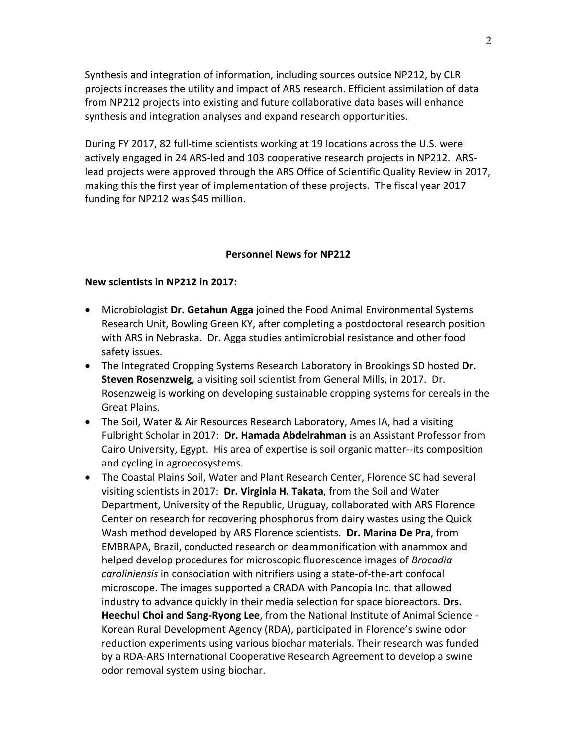Synthesis and integration of information, including sources outside NP212, by CLR projects increases the utility and impact of ARS research. Efficient assimilation of data from NP212 projects into existing and future collaborative data bases will enhance synthesis and integration analyses and expand research opportunities.

During FY 2017, 82 full-time scientists working at 19 locations across the U.S. were actively engaged in 24 ARS-led and 103 cooperative research projects in NP212. ARSlead projects were approved through the ARS Office of Scientific Quality Review in 2017, making this the first year of implementation of these projects. The fiscal year 2017 funding for NP212 was \$45 million.

### **Personnel News for NP212**

### **New scientists in NP212 in 2017:**

- Microbiologist **Dr. Getahun Agga** joined the Food Animal Environmental Systems Research Unit, Bowling Green KY, after completing a postdoctoral research position with ARS in Nebraska. Dr. Agga studies antimicrobial resistance and other food safety issues.
- The Integrated Cropping Systems Research Laboratory in Brookings SD hosted **Dr. Steven Rosenzweig**, a visiting soil scientist from General Mills, in 2017. Dr. Rosenzweig is working on developing sustainable cropping systems for cereals in the Great Plains.
- The Soil, Water & Air Resources Research Laboratory, Ames IA, had a visiting Fulbright Scholar in 2017: **Dr. Hamada Abdelrahman** is an Assistant Professor from Cairo University, Egypt. His area of expertise is soil organic matter--its composition and cycling in agroecosystems.
- The Coastal Plains Soil, Water and Plant Research Center, Florence SC had several visiting scientists in 2017: **Dr. Virginia H. Takata**, from the Soil and Water Department, University of the Republic, Uruguay, collaborated with ARS Florence Center on research for recovering phosphorus from dairy wastes using the Quick Wash method developed by ARS Florence scientists. **Dr. Marina De Pra**, from EMBRAPA, Brazil, conducted research on deammonification with anammox and helped develop procedures for microscopic fluorescence images of *Brocadia caroliniensis* in consociation with nitrifiers using a state-of-the-art confocal microscope. The images supported a CRADA with Pancopia Inc. that allowed industry to advance quickly in their media selection for space bioreactors. **Drs. Heechul Choi and Sang-Ryong Lee**, from the National Institute of Animal Science - Korean Rural Development Agency (RDA), participated in Florence's swine odor reduction experiments using various biochar materials. Their research was funded by a RDA-ARS International Cooperative Research Agreement to develop a swine odor removal system using biochar.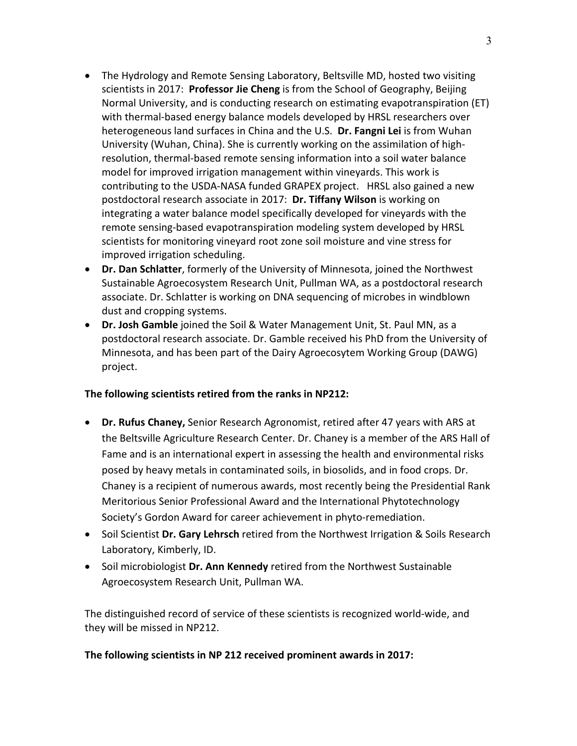- The Hydrology and Remote Sensing Laboratory, Beltsville MD, hosted two visiting scientists in 2017: **Professor Jie Cheng** is from the School of Geography, Beijing Normal University, and is conducting research on estimating evapotranspiration (ET) with thermal-based energy balance models developed by HRSL researchers over heterogeneous land surfaces in China and the U.S. **Dr. Fangni Lei** is from Wuhan University (Wuhan, China). She is currently working on the assimilation of highresolution, thermal-based remote sensing information into a soil water balance model for improved irrigation management within vineyards. This work is contributing to the USDA-NASA funded GRAPEX project. HRSL also gained a new postdoctoral research associate in 2017: **Dr. Tiffany Wilson** is working on integrating a water balance model specifically developed for vineyards with the remote sensing-based evapotranspiration modeling system developed by HRSL scientists for monitoring vineyard root zone soil moisture and vine stress for improved irrigation scheduling.
- **Dr. Dan Schlatter**, formerly of the University of Minnesota, joined the Northwest Sustainable Agroecosystem Research Unit, Pullman WA, as a postdoctoral research associate. Dr. Schlatter is working on DNA sequencing of microbes in windblown dust and cropping systems.
- **Dr. Josh Gamble** joined the Soil & Water Management Unit, St. Paul MN, as a postdoctoral research associate. Dr. Gamble received his PhD from the University of Minnesota, and has been part of the Dairy Agroecosytem Working Group (DAWG) project.

# **The following scientists retired from the ranks in NP212:**

- **Dr. Rufus Chaney,** Senior Research Agronomist, retired after 47 years with ARS at the Beltsville Agriculture Research Center. Dr. Chaney is a member of the ARS Hall of Fame and is an international expert in assessing the health and environmental risks posed by heavy metals in contaminated soils, in biosolids, and in food crops. Dr. Chaney is a recipient of numerous awards, most recently being the Presidential Rank Meritorious Senior Professional Award and the International Phytotechnology Society's Gordon Award for career achievement in phyto-remediation.
- Soil Scientist **Dr. Gary Lehrsch** retired from the Northwest Irrigation & Soils Research Laboratory, Kimberly, ID.
- Soil microbiologist **Dr. Ann Kennedy** retired from the Northwest Sustainable Agroecosystem Research Unit, Pullman WA.

The distinguished record of service of these scientists is recognized world-wide, and they will be missed in NP212.

# **The following scientists in NP 212 received prominent awards in 2017:**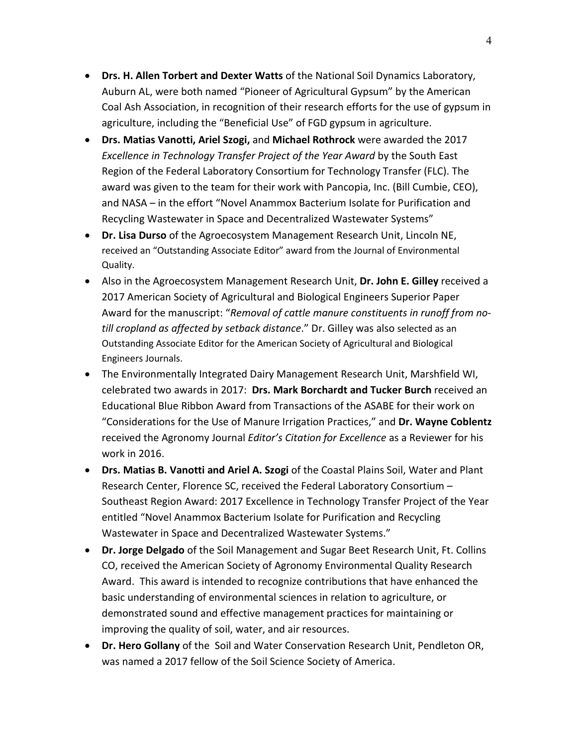- **Drs. H. Allen Torbert and Dexter Watts** of the National Soil Dynamics Laboratory, Auburn AL, were both named "Pioneer of Agricultural Gypsum" by the American Coal Ash Association, in recognition of their research efforts for the use of gypsum in agriculture, including the "Beneficial Use" of FGD gypsum in agriculture.
- **Drs. Matias Vanotti, Ariel Szogi,** and **Michael Rothrock** were awarded the 2017 *Excellence in Technology Transfer Project of the Year Award* by the South East Region of the Federal Laboratory Consortium for Technology Transfer (FLC). The award was given to the team for their work with Pancopia, Inc. (Bill Cumbie, CEO), and NASA – in the effort "Novel Anammox Bacterium Isolate for Purification and Recycling Wastewater in Space and Decentralized Wastewater Systems"
- **Dr. Lisa Durso** of the Agroecosystem Management Research Unit, Lincoln NE, received an "Outstanding Associate Editor" award from the Journal of Environmental Quality.
- Also in the Agroecosystem Management Research Unit, **Dr. John E. Gilley** received a 2017 American Society of Agricultural and Biological Engineers Superior Paper Award for the manuscript: "*Removal of cattle manure constituents in runoff from notill cropland as affected by setback distance*." Dr. Gilley was also selected as an Outstanding Associate Editor for the American Society of Agricultural and Biological Engineers Journals.
- The Environmentally Integrated Dairy Management Research Unit, Marshfield WI, celebrated two awards in 2017: **Drs. Mark Borchardt and Tucker Burch** received an Educational Blue Ribbon Award from Transactions of the ASABE for their work on "Considerations for the Use of Manure Irrigation Practices," and **Dr. Wayne Coblentz** received the Agronomy Journal *Editor's Citation for Excellence* as a Reviewer for his work in 2016.
- **Drs. Matias B. Vanotti and Ariel A. Szogi of the Coastal Plains Soil, Water and Plant** Research Center, Florence SC, received the Federal Laboratory Consortium – Southeast Region Award: 2017 Excellence in Technology Transfer Project of the Year entitled "Novel Anammox Bacterium Isolate for Purification and Recycling Wastewater in Space and Decentralized Wastewater Systems."
- **Dr. Jorge Delgado** of the Soil Management and Sugar Beet Research Unit, Ft. Collins CO, received the American Society of Agronomy Environmental Quality Research Award. This award is intended to recognize contributions that have enhanced the basic understanding of environmental sciences in relation to agriculture, or demonstrated sound and effective management practices for maintaining or improving the quality of soil, water, and air resources.
- **Dr. Hero Gollany** of the Soil and Water Conservation Research Unit, Pendleton OR, was named a 2017 fellow of the Soil Science Society of America.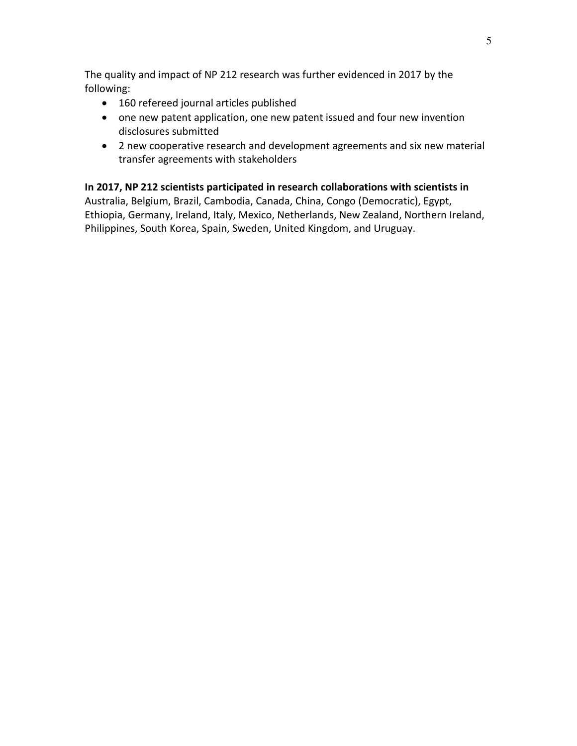The quality and impact of NP 212 research was further evidenced in 2017 by the following:

- 160 refereed journal articles published
- one new patent application, one new patent issued and four new invention disclosures submitted
- 2 new cooperative research and development agreements and six new material transfer agreements with stakeholders

# **In 2017, NP 212 scientists participated in research collaborations with scientists in**

Australia, Belgium, Brazil, Cambodia, Canada, China, Congo (Democratic), Egypt, Ethiopia, Germany, Ireland, Italy, Mexico, Netherlands, New Zealand, Northern Ireland, Philippines, South Korea, Spain, Sweden, United Kingdom, and Uruguay.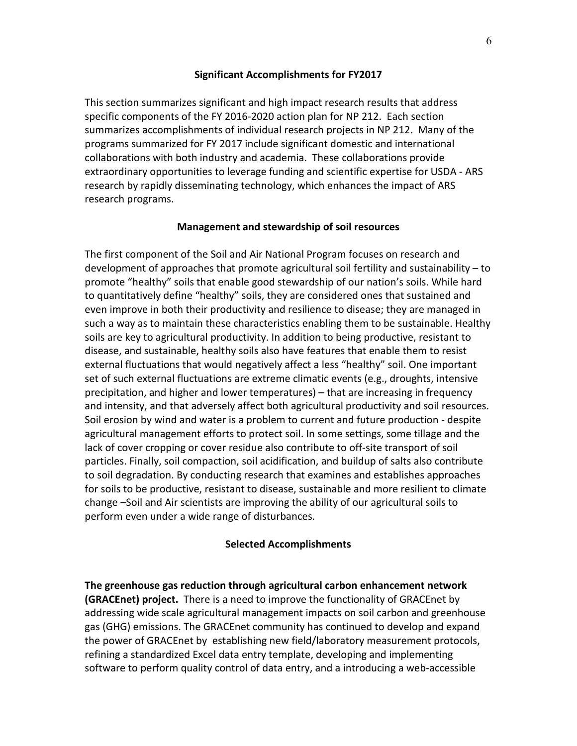### **Significant Accomplishments for FY2017**

This section summarizes significant and high impact research results that address specific components of the FY 2016-2020 action plan for NP 212. Each section summarizes accomplishments of individual research projects in NP 212. Many of the programs summarized for FY 2017 include significant domestic and international collaborations with both industry and academia. These collaborations provide extraordinary opportunities to leverage funding and scientific expertise for USDA - ARS research by rapidly disseminating technology, which enhances the impact of ARS research programs.

### **Management and stewardship of soil resources**

The first component of the Soil and Air National Program focuses on research and development of approaches that promote agricultural soil fertility and sustainability – to promote "healthy" soils that enable good stewardship of our nation's soils. While hard to quantitatively define "healthy" soils, they are considered ones that sustained and even improve in both their productivity and resilience to disease; they are managed in such a way as to maintain these characteristics enabling them to be sustainable. Healthy soils are key to agricultural productivity. In addition to being productive, resistant to disease, and sustainable, healthy soils also have features that enable them to resist external fluctuations that would negatively affect a less "healthy" soil. One important set of such external fluctuations are extreme climatic events (e.g., droughts, intensive precipitation, and higher and lower temperatures) – that are increasing in frequency and intensity, and that adversely affect both agricultural productivity and soil resources. Soil erosion by wind and water is a problem to current and future production - despite agricultural management efforts to protect soil. In some settings, some tillage and the lack of cover cropping or cover residue also contribute to off-site transport of soil particles. Finally, soil compaction, soil acidification, and buildup of salts also contribute to soil degradation. By conducting research that examines and establishes approaches for soils to be productive, resistant to disease, sustainable and more resilient to climate change –Soil and Air scientists are improving the ability of our agricultural soils to perform even under a wide range of disturbances.

### **Selected Accomplishments**

**The greenhouse gas reduction through agricultural carbon enhancement network (GRACEnet) project.** There is a need to improve the functionality of GRACEnet by addressing wide scale agricultural management impacts on soil carbon and greenhouse gas (GHG) emissions. The GRACEnet community has continued to develop and expand the power of GRACEnet by establishing new field/laboratory measurement protocols, refining a standardized Excel data entry template, developing and implementing software to perform quality control of data entry, and a introducing a web-accessible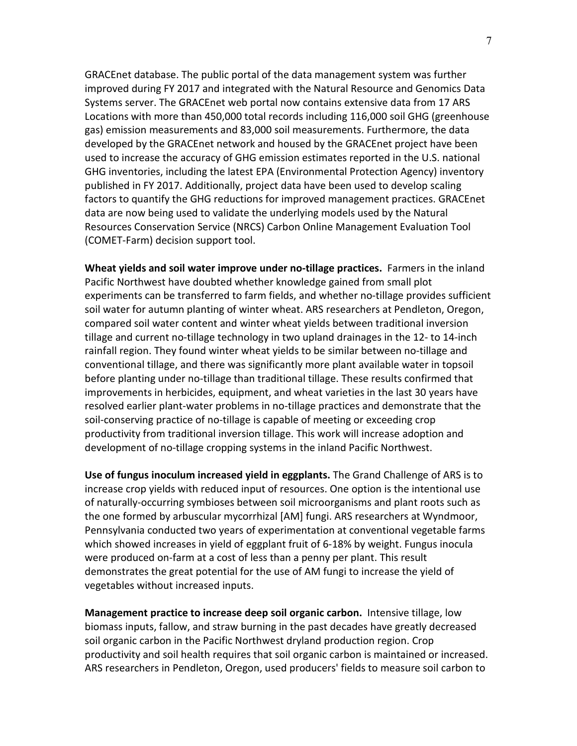GRACEnet database. The public portal of the data management system was further improved during FY 2017 and integrated with the Natural Resource and Genomics Data Systems server. The GRACEnet web portal now contains extensive data from 17 ARS Locations with more than 450,000 total records including 116,000 soil GHG (greenhouse gas) emission measurements and 83,000 soil measurements. Furthermore, the data developed by the GRACEnet network and housed by the GRACEnet project have been used to increase the accuracy of GHG emission estimates reported in the U.S. national GHG inventories, including the latest EPA (Environmental Protection Agency) inventory published in FY 2017. Additionally, project data have been used to develop scaling factors to quantify the GHG reductions for improved management practices. GRACEnet data are now being used to validate the underlying models used by the Natural Resources Conservation Service (NRCS) Carbon Online Management Evaluation Tool (COMET-Farm) decision support tool.

**Wheat yields and soil water improve under no-tillage practices.** Farmers in the inland Pacific Northwest have doubted whether knowledge gained from small plot experiments can be transferred to farm fields, and whether no-tillage provides sufficient soil water for autumn planting of winter wheat. ARS researchers at Pendleton, Oregon, compared soil water content and winter wheat yields between traditional inversion tillage and current no-tillage technology in two upland drainages in the 12- to 14-inch rainfall region. They found winter wheat yields to be similar between no-tillage and conventional tillage, and there was significantly more plant available water in topsoil before planting under no-tillage than traditional tillage. These results confirmed that improvements in herbicides, equipment, and wheat varieties in the last 30 years have resolved earlier plant-water problems in no-tillage practices and demonstrate that the soil-conserving practice of no-tillage is capable of meeting or exceeding crop productivity from traditional inversion tillage. This work will increase adoption and development of no-tillage cropping systems in the inland Pacific Northwest.

**Use of fungus inoculum increased yield in eggplants.** The Grand Challenge of ARS is to increase crop yields with reduced input of resources. One option is the intentional use of naturally-occurring symbioses between soil microorganisms and plant roots such as the one formed by arbuscular mycorrhizal [AM] fungi. ARS researchers at Wyndmoor, Pennsylvania conducted two years of experimentation at conventional vegetable farms which showed increases in yield of eggplant fruit of 6-18% by weight. Fungus inocula were produced on-farm at a cost of less than a penny per plant. This result demonstrates the great potential for the use of AM fungi to increase the yield of vegetables without increased inputs.

**Management practice to increase deep soil organic carbon.** Intensive tillage, low biomass inputs, fallow, and straw burning in the past decades have greatly decreased soil organic carbon in the Pacific Northwest dryland production region. Crop productivity and soil health requires that soil organic carbon is maintained or increased. ARS researchers in Pendleton, Oregon, used producers' fields to measure soil carbon to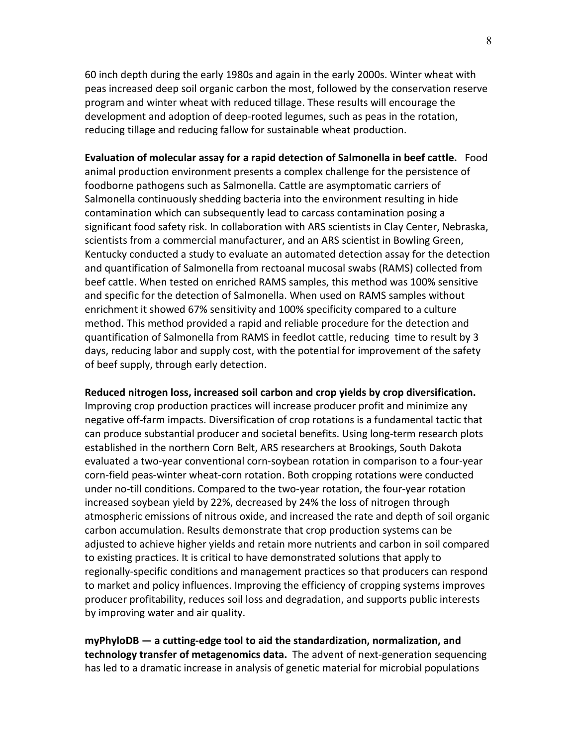60 inch depth during the early 1980s and again in the early 2000s. Winter wheat with peas increased deep soil organic carbon the most, followed by the conservation reserve program and winter wheat with reduced tillage. These results will encourage the development and adoption of deep-rooted legumes, such as peas in the rotation, reducing tillage and reducing fallow for sustainable wheat production.

**Evaluation of molecular assay for a rapid detection of Salmonella in beef cattle.** Food animal production environment presents a complex challenge for the persistence of foodborne pathogens such as Salmonella. Cattle are asymptomatic carriers of Salmonella continuously shedding bacteria into the environment resulting in hide contamination which can subsequently lead to carcass contamination posing a significant food safety risk. In collaboration with ARS scientists in Clay Center, Nebraska, scientists from a commercial manufacturer, and an ARS scientist in Bowling Green, Kentucky conducted a study to evaluate an automated detection assay for the detection and quantification of Salmonella from rectoanal mucosal swabs (RAMS) collected from beef cattle. When tested on enriched RAMS samples, this method was 100% sensitive and specific for the detection of Salmonella. When used on RAMS samples without enrichment it showed 67% sensitivity and 100% specificity compared to a culture method. This method provided a rapid and reliable procedure for the detection and quantification of Salmonella from RAMS in feedlot cattle, reducing time to result by 3 days, reducing labor and supply cost, with the potential for improvement of the safety of beef supply, through early detection.

#### **Reduced nitrogen loss, increased soil carbon and crop yields by crop diversification.**

Improving crop production practices will increase producer profit and minimize any negative off-farm impacts. Diversification of crop rotations is a fundamental tactic that can produce substantial producer and societal benefits. Using long-term research plots established in the northern Corn Belt, ARS researchers at Brookings, South Dakota evaluated a two-year conventional corn-soybean rotation in comparison to a four-year corn-field peas-winter wheat-corn rotation. Both cropping rotations were conducted under no-till conditions. Compared to the two-year rotation, the four-year rotation increased soybean yield by 22%, decreased by 24% the loss of nitrogen through atmospheric emissions of nitrous oxide, and increased the rate and depth of soil organic carbon accumulation. Results demonstrate that crop production systems can be adjusted to achieve higher yields and retain more nutrients and carbon in soil compared to existing practices. It is critical to have demonstrated solutions that apply to regionally-specific conditions and management practices so that producers can respond to market and policy influences. Improving the efficiency of cropping systems improves producer profitability, reduces soil loss and degradation, and supports public interests by improving water and air quality.

**myPhyloDB — a cutting-edge tool to aid the standardization, normalization, and technology transfer of metagenomics data.** The advent of next-generation sequencing has led to a dramatic increase in analysis of genetic material for microbial populations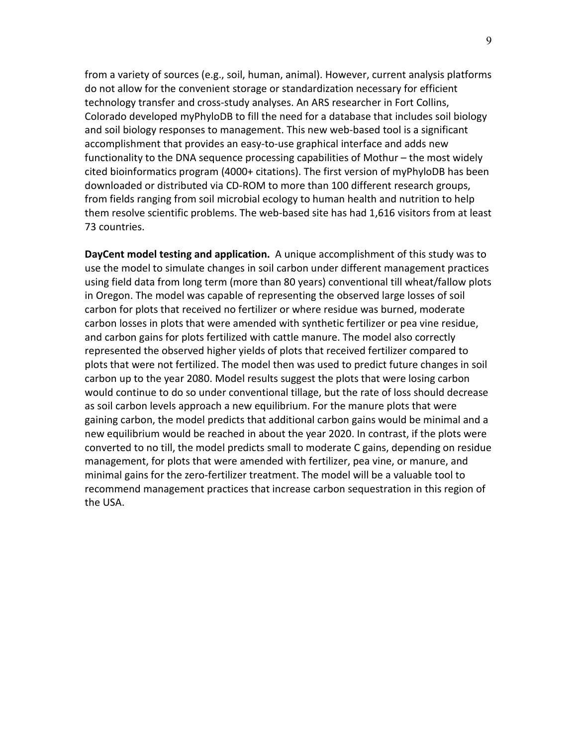from a variety of sources (e.g., soil, human, animal). However, current analysis platforms do not allow for the convenient storage or standardization necessary for efficient technology transfer and cross-study analyses. An ARS researcher in Fort Collins, Colorado developed myPhyloDB to fill the need for a database that includes soil biology and soil biology responses to management. This new web-based tool is a significant accomplishment that provides an easy-to-use graphical interface and adds new functionality to the DNA sequence processing capabilities of Mothur – the most widely cited bioinformatics program (4000+ citations). The first version of myPhyloDB has been downloaded or distributed via CD-ROM to more than 100 different research groups, from fields ranging from soil microbial ecology to human health and nutrition to help them resolve scientific problems. The web-based site has had 1,616 visitors from at least 73 countries.

**DayCent model testing and application.** A unique accomplishment of this study was to use the model to simulate changes in soil carbon under different management practices using field data from long term (more than 80 years) conventional till wheat/fallow plots in Oregon. The model was capable of representing the observed large losses of soil carbon for plots that received no fertilizer or where residue was burned, moderate carbon losses in plots that were amended with synthetic fertilizer or pea vine residue, and carbon gains for plots fertilized with cattle manure. The model also correctly represented the observed higher yields of plots that received fertilizer compared to plots that were not fertilized. The model then was used to predict future changes in soil carbon up to the year 2080. Model results suggest the plots that were losing carbon would continue to do so under conventional tillage, but the rate of loss should decrease as soil carbon levels approach a new equilibrium. For the manure plots that were gaining carbon, the model predicts that additional carbon gains would be minimal and a new equilibrium would be reached in about the year 2020. In contrast, if the plots were converted to no till, the model predicts small to moderate C gains, depending on residue management, for plots that were amended with fertilizer, pea vine, or manure, and minimal gains for the zero-fertilizer treatment. The model will be a valuable tool to recommend management practices that increase carbon sequestration in this region of the USA.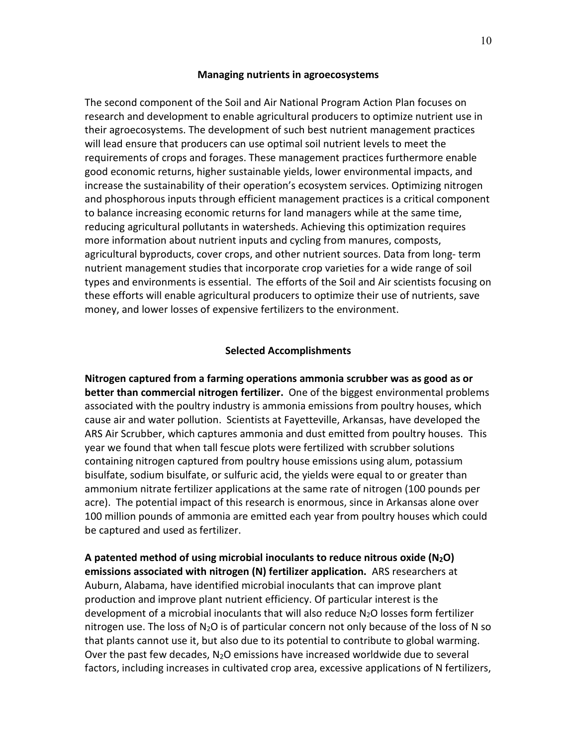#### **Managing nutrients in agroecosystems**

The second component of the Soil and Air National Program Action Plan focuses on research and development to enable agricultural producers to optimize nutrient use in their agroecosystems. The development of such best nutrient management practices will lead ensure that producers can use optimal soil nutrient levels to meet the requirements of crops and forages. These management practices furthermore enable good economic returns, higher sustainable yields, lower environmental impacts, and increase the sustainability of their operation's ecosystem services. Optimizing nitrogen and phosphorous inputs through efficient management practices is a critical component to balance increasing economic returns for land managers while at the same time, reducing agricultural pollutants in watersheds. Achieving this optimization requires more information about nutrient inputs and cycling from manures, composts, agricultural byproducts, cover crops, and other nutrient sources. Data from long- term nutrient management studies that incorporate crop varieties for a wide range of soil types and environments is essential. The efforts of the Soil and Air scientists focusing on these efforts will enable agricultural producers to optimize their use of nutrients, save money, and lower losses of expensive fertilizers to the environment.

#### **Selected Accomplishments**

**Nitrogen captured from a farming operations ammonia scrubber was as good as or better than commercial nitrogen fertilizer.** One of the biggest environmental problems associated with the poultry industry is ammonia emissions from poultry houses, which cause air and water pollution. Scientists at Fayetteville, Arkansas, have developed the ARS Air Scrubber, which captures ammonia and dust emitted from poultry houses. This year we found that when tall fescue plots were fertilized with scrubber solutions containing nitrogen captured from poultry house emissions using alum, potassium bisulfate, sodium bisulfate, or sulfuric acid, the yields were equal to or greater than ammonium nitrate fertilizer applications at the same rate of nitrogen (100 pounds per acre). The potential impact of this research is enormous, since in Arkansas alone over 100 million pounds of ammonia are emitted each year from poultry houses which could be captured and used as fertilizer.

**A patented method of using microbial inoculants to reduce nitrous oxide (N2O) emissions associated with nitrogen (N) fertilizer application.** ARS researchers at Auburn, Alabama, have identified microbial inoculants that can improve plant production and improve plant nutrient efficiency. Of particular interest is the development of a microbial inoculants that will also reduce N2O losses form fertilizer nitrogen use. The loss of  $N_2O$  is of particular concern not only because of the loss of N so that plants cannot use it, but also due to its potential to contribute to global warming. Over the past few decades,  $N_2O$  emissions have increased worldwide due to several factors, including increases in cultivated crop area, excessive applications of N fertilizers,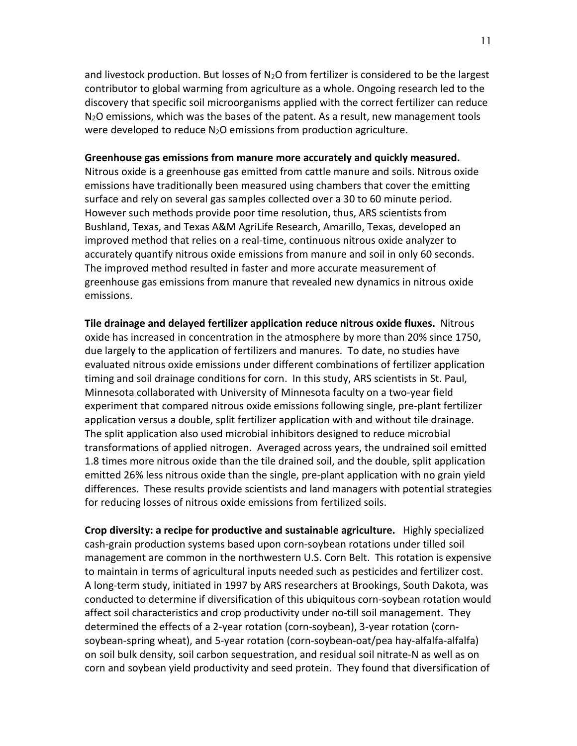and livestock production. But losses of  $N_2O$  from fertilizer is considered to be the largest contributor to global warming from agriculture as a whole. Ongoing research led to the discovery that specific soil microorganisms applied with the correct fertilizer can reduce N2O emissions, which was the bases of the patent. As a result, new management tools were developed to reduce  $N_2O$  emissions from production agriculture.

### **Greenhouse gas emissions from manure more accurately and quickly measured.**

Nitrous oxide is a greenhouse gas emitted from cattle manure and soils. Nitrous oxide emissions have traditionally been measured using chambers that cover the emitting surface and rely on several gas samples collected over a 30 to 60 minute period. However such methods provide poor time resolution, thus, ARS scientists from Bushland, Texas, and Texas A&M AgriLife Research, Amarillo, Texas, developed an improved method that relies on a real-time, continuous nitrous oxide analyzer to accurately quantify nitrous oxide emissions from manure and soil in only 60 seconds. The improved method resulted in faster and more accurate measurement of greenhouse gas emissions from manure that revealed new dynamics in nitrous oxide emissions.

**Tile drainage and delayed fertilizer application reduce nitrous oxide fluxes.** Nitrous oxide has increased in concentration in the atmosphere by more than 20% since 1750, due largely to the application of fertilizers and manures. To date, no studies have evaluated nitrous oxide emissions under different combinations of fertilizer application timing and soil drainage conditions for corn. In this study, ARS scientists in St. Paul, Minnesota collaborated with University of Minnesota faculty on a two-year field experiment that compared nitrous oxide emissions following single, pre-plant fertilizer application versus a double, split fertilizer application with and without tile drainage. The split application also used microbial inhibitors designed to reduce microbial transformations of applied nitrogen. Averaged across years, the undrained soil emitted 1.8 times more nitrous oxide than the tile drained soil, and the double, split application emitted 26% less nitrous oxide than the single, pre-plant application with no grain yield differences. These results provide scientists and land managers with potential strategies for reducing losses of nitrous oxide emissions from fertilized soils.

**Crop diversity: a recipe for productive and sustainable agriculture.** Highly specialized cash-grain production systems based upon corn-soybean rotations under tilled soil management are common in the northwestern U.S. Corn Belt. This rotation is expensive to maintain in terms of agricultural inputs needed such as pesticides and fertilizer cost. A long-term study, initiated in 1997 by ARS researchers at Brookings, South Dakota, was conducted to determine if diversification of this ubiquitous corn-soybean rotation would affect soil characteristics and crop productivity under no-till soil management. They determined the effects of a 2-year rotation (corn-soybean), 3-year rotation (cornsoybean-spring wheat), and 5-year rotation (corn-soybean-oat/pea hay-alfalfa-alfalfa) on soil bulk density, soil carbon sequestration, and residual soil nitrate-N as well as on corn and soybean yield productivity and seed protein. They found that diversification of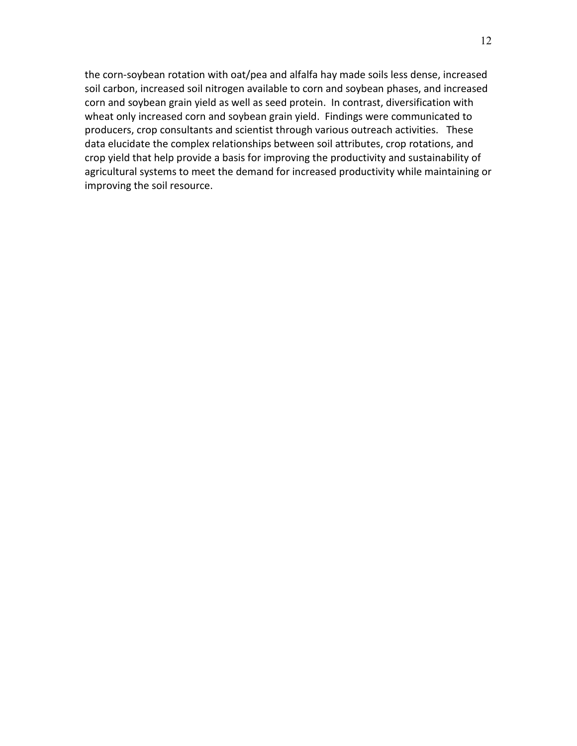the corn-soybean rotation with oat/pea and alfalfa hay made soils less dense, increased soil carbon, increased soil nitrogen available to corn and soybean phases, and increased corn and soybean grain yield as well as seed protein. In contrast, diversification with wheat only increased corn and soybean grain yield. Findings were communicated to producers, crop consultants and scientist through various outreach activities. These data elucidate the complex relationships between soil attributes, crop rotations, and crop yield that help provide a basis for improving the productivity and sustainability of agricultural systems to meet the demand for increased productivity while maintaining or improving the soil resource.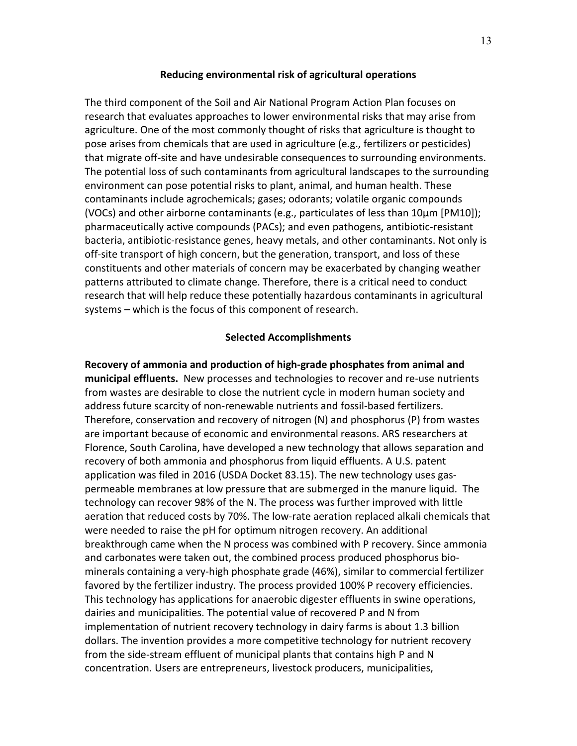### **Reducing environmental risk of agricultural operations**

The third component of the Soil and Air National Program Action Plan focuses on research that evaluates approaches to lower environmental risks that may arise from agriculture. One of the most commonly thought of risks that agriculture is thought to pose arises from chemicals that are used in agriculture (e.g., fertilizers or pesticides) that migrate off-site and have undesirable consequences to surrounding environments. The potential loss of such contaminants from agricultural landscapes to the surrounding environment can pose potential risks to plant, animal, and human health. These contaminants include agrochemicals; gases; odorants; volatile organic compounds (VOCs) and other airborne contaminants (e.g., particulates of less than 10μm [PM10]); pharmaceutically active compounds (PACs); and even pathogens, antibiotic-resistant bacteria, antibiotic-resistance genes, heavy metals, and other contaminants. Not only is off-site transport of high concern, but the generation, transport, and loss of these constituents and other materials of concern may be exacerbated by changing weather patterns attributed to climate change. Therefore, there is a critical need to conduct research that will help reduce these potentially hazardous contaminants in agricultural systems – which is the focus of this component of research.

### **Selected Accomplishments**

**Recovery of ammonia and production of high-grade phosphates from animal and municipal effluents.** New processes and technologies to recover and re-use nutrients from wastes are desirable to close the nutrient cycle in modern human society and address future scarcity of non-renewable nutrients and fossil-based fertilizers. Therefore, conservation and recovery of nitrogen (N) and phosphorus (P) from wastes are important because of economic and environmental reasons. ARS researchers at Florence, South Carolina, have developed a new technology that allows separation and recovery of both ammonia and phosphorus from liquid effluents. A U.S. patent application was filed in 2016 (USDA Docket 83.15). The new technology uses gaspermeable membranes at low pressure that are submerged in the manure liquid. The technology can recover 98% of the N. The process was further improved with little aeration that reduced costs by 70%. The low-rate aeration replaced alkali chemicals that were needed to raise the pH for optimum nitrogen recovery. An additional breakthrough came when the N process was combined with P recovery. Since ammonia and carbonates were taken out, the combined process produced phosphorus biominerals containing a very-high phosphate grade (46%), similar to commercial fertilizer favored by the fertilizer industry. The process provided 100% P recovery efficiencies. This technology has applications for anaerobic digester effluents in swine operations, dairies and municipalities. The potential value of recovered P and N from implementation of nutrient recovery technology in dairy farms is about 1.3 billion dollars. The invention provides a more competitive technology for nutrient recovery from the side-stream effluent of municipal plants that contains high P and N concentration. Users are entrepreneurs, livestock producers, municipalities,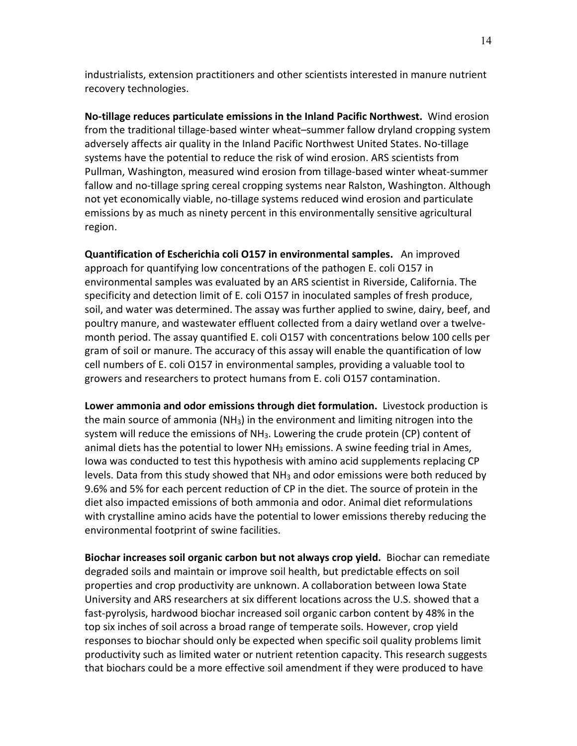industrialists, extension practitioners and other scientists interested in manure nutrient recovery technologies.

**No-tillage reduces particulate emissions in the Inland Pacific Northwest.** Wind erosion from the traditional tillage-based winter wheat–summer fallow dryland cropping system adversely affects air quality in the Inland Pacific Northwest United States. No-tillage systems have the potential to reduce the risk of wind erosion. ARS scientists from Pullman, Washington, measured wind erosion from tillage-based winter wheat-summer fallow and no-tillage spring cereal cropping systems near Ralston, Washington. Although not yet economically viable, no-tillage systems reduced wind erosion and particulate emissions by as much as ninety percent in this environmentally sensitive agricultural region.

**Quantification of Escherichia coli O157 in environmental samples.** An improved approach for quantifying low concentrations of the pathogen E. coli O157 in environmental samples was evaluated by an ARS scientist in Riverside, California. The specificity and detection limit of E. coli O157 in inoculated samples of fresh produce, soil, and water was determined. The assay was further applied to swine, dairy, beef, and poultry manure, and wastewater effluent collected from a dairy wetland over a twelvemonth period. The assay quantified E. coli O157 with concentrations below 100 cells per gram of soil or manure. The accuracy of this assay will enable the quantification of low cell numbers of E. coli O157 in environmental samples, providing a valuable tool to growers and researchers to protect humans from E. coli O157 contamination.

**Lower ammonia and odor emissions through diet formulation.** Livestock production is the main source of ammonia ( $NH<sub>3</sub>$ ) in the environment and limiting nitrogen into the system will reduce the emissions of  $NH<sub>3</sub>$ . Lowering the crude protein (CP) content of animal diets has the potential to lower  $NH<sub>3</sub>$  emissions. A swine feeding trial in Ames, Iowa was conducted to test this hypothesis with amino acid supplements replacing CP levels. Data from this study showed that  $NH<sub>3</sub>$  and odor emissions were both reduced by 9.6% and 5% for each percent reduction of CP in the diet. The source of protein in the diet also impacted emissions of both ammonia and odor. Animal diet reformulations with crystalline amino acids have the potential to lower emissions thereby reducing the environmental footprint of swine facilities.

**Biochar increases soil organic carbon but not always crop yield.** Biochar can remediate degraded soils and maintain or improve soil health, but predictable effects on soil properties and crop productivity are unknown. A collaboration between Iowa State University and ARS researchers at six different locations across the U.S. showed that a fast-pyrolysis, hardwood biochar increased soil organic carbon content by 48% in the top six inches of soil across a broad range of temperate soils. However, crop yield responses to biochar should only be expected when specific soil quality problems limit productivity such as limited water or nutrient retention capacity. This research suggests that biochars could be a more effective soil amendment if they were produced to have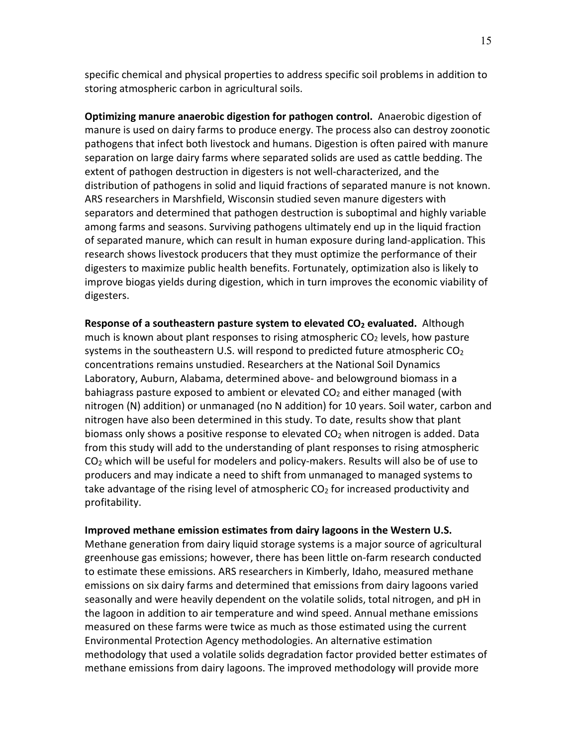specific chemical and physical properties to address specific soil problems in addition to storing atmospheric carbon in agricultural soils.

**Optimizing manure anaerobic digestion for pathogen control.** Anaerobic digestion of manure is used on dairy farms to produce energy. The process also can destroy zoonotic pathogens that infect both livestock and humans. Digestion is often paired with manure separation on large dairy farms where separated solids are used as cattle bedding. The extent of pathogen destruction in digesters is not well-characterized, and the distribution of pathogens in solid and liquid fractions of separated manure is not known. ARS researchers in Marshfield, Wisconsin studied seven manure digesters with separators and determined that pathogen destruction is suboptimal and highly variable among farms and seasons. Surviving pathogens ultimately end up in the liquid fraction of separated manure, which can result in human exposure during land-application. This research shows livestock producers that they must optimize the performance of their digesters to maximize public health benefits. Fortunately, optimization also is likely to improve biogas yields during digestion, which in turn improves the economic viability of digesters.

**Response of a southeastern pasture system to elevated CO<sub>2</sub> evaluated.** Although much is known about plant responses to rising atmospheric  $CO<sub>2</sub>$  levels, how pasture systems in the southeastern U.S. will respond to predicted future atmospheric  $CO<sub>2</sub>$ concentrations remains unstudied. Researchers at the National Soil Dynamics Laboratory, Auburn, Alabama, determined above- and belowground biomass in a bahiagrass pasture exposed to ambient or elevated  $CO<sub>2</sub>$  and either managed (with nitrogen (N) addition) or unmanaged (no N addition) for 10 years. Soil water, carbon and nitrogen have also been determined in this study. To date, results show that plant biomass only shows a positive response to elevated  $CO<sub>2</sub>$  when nitrogen is added. Data from this study will add to the understanding of plant responses to rising atmospheric CO2 which will be useful for modelers and policy-makers. Results will also be of use to producers and may indicate a need to shift from unmanaged to managed systems to take advantage of the rising level of atmospheric  $CO<sub>2</sub>$  for increased productivity and profitability.

#### **Improved methane emission estimates from dairy lagoons in the Western U.S.**

Methane generation from dairy liquid storage systems is a major source of agricultural greenhouse gas emissions; however, there has been little on-farm research conducted to estimate these emissions. ARS researchers in Kimberly, Idaho, measured methane emissions on six dairy farms and determined that emissions from dairy lagoons varied seasonally and were heavily dependent on the volatile solids, total nitrogen, and pH in the lagoon in addition to air temperature and wind speed. Annual methane emissions measured on these farms were twice as much as those estimated using the current Environmental Protection Agency methodologies. An alternative estimation methodology that used a volatile solids degradation factor provided better estimates of methane emissions from dairy lagoons. The improved methodology will provide more